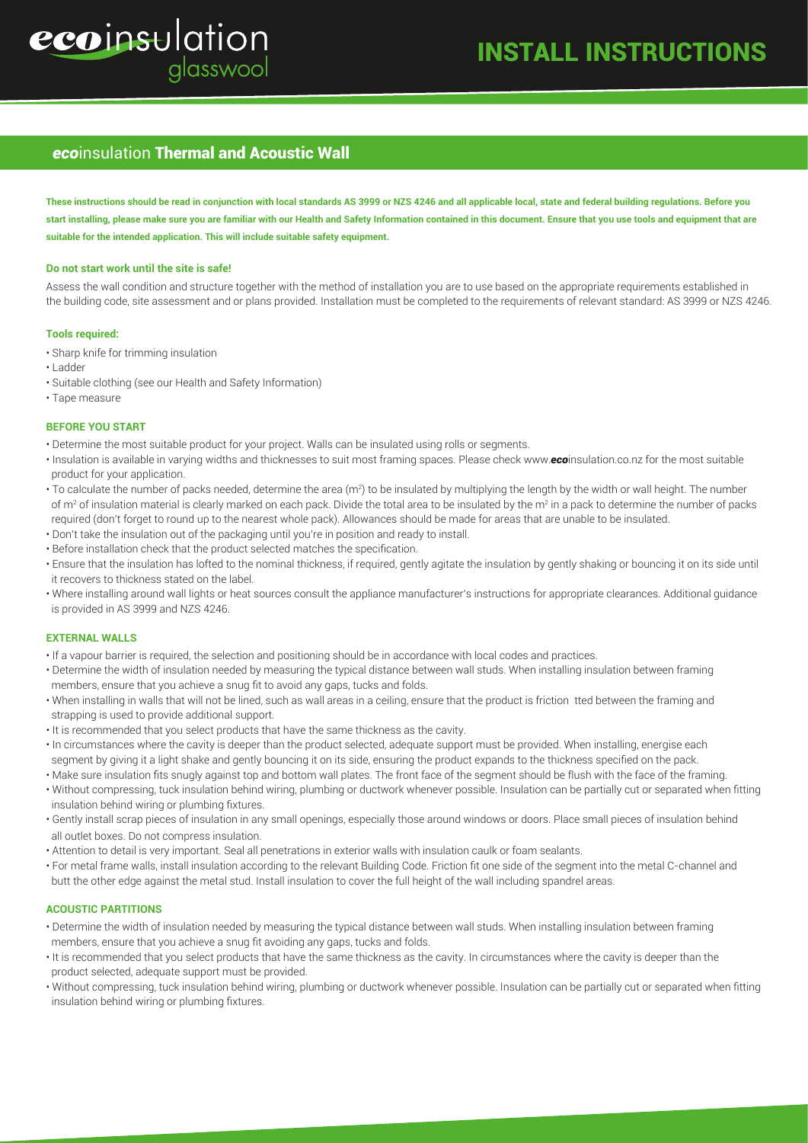# ecoinsulation glasswool

## *eco*insulation Thermal and Acoustic Wall

**These instructions should be read in conjunction with local standards AS 3999 or NZS 4246 and all applicable local, state and federal building regulations. Before you start installing, please make sure you are familiar with our Health and Safety Information contained in this document. Ensure that you use tools and equipment that are suitable for the intended application. This will include suitable safety equipment.**

### **Do not start work until the site is safe!**

Assess the wall condition and structure together with the method of installation you are to use based on the appropriate requirements established in the building code, site assessment and or plans provided. Installation must be completed to the requirements of relevant standard: AS 3999 or NZS 4246.

## **Tools required:**

- Sharp knife for trimming insulation
- Ladder
- Suitable clothing (see our Health and Safety Information)
- Tape measure

## **BEFORE YOU START**

- Determine the most suitable product for your project. Walls can be insulated using rolls or segments.
- Insulation is available in varying widths and thicknesses to suit most framing spaces. Please check www.*eco*insulation.co.nz for the most suitable product for your application.
- $\cdot$  To calculate the number of packs needed, determine the area (m²) to be insulated by multiplying the length by the width or wall height. The number of m<sup>2</sup> of insulation material is clearly marked on each pack. Divide the total area to be insulated by the m<sup>2</sup> in a pack to determine the number of packs required (don't forget to round up to the nearest whole pack). Allowances should be made for areas that are unable to be insulated.
- Don't take the insulation out of the packaging until you're in position and ready to install.
- Before installation check that the product selected matches the specification.
- Ensure that the insulation has lofted to the nominal thickness, if required, gently agitate the insulation by gently shaking or bouncing it on its side until it recovers to thickness stated on the label.
- Where installing around wall lights or heat sources consult the appliance manufacturer's instructions for appropriate clearances. Additional guidance is provided in AS 3999 and NZS 4246.

## **EXTERNAL WALLS**

- If a vapour barrier is required, the selection and positioning should be in accordance with local codes and practices.
- Determine the width of insulation needed by measuring the typical distance between wall studs. When installing insulation between framing members, ensure that you achieve a snug fit to avoid any gaps, tucks and folds.
- When installing in walls that will not be lined, such as wall areas in a ceiling, ensure that the product is friction �tted between the framing and strapping is used to provide additional support.
- It is recommended that you select products that have the same thickness as the cavity.
- In circumstances where the cavity is deeper than the product selected, adequate support must be provided. When installing, energise each segment by giving it a light shake and gently bouncing it on its side, ensuring the product expands to the thickness specified on the pack.
- Make sure insulation fits snugly against top and bottom wall plates. The front face of the segment should be flush with the face of the framing.
- Without compressing, tuck insulation behind wiring, plumbing or ductwork whenever possible. Insulation can be partially cut or separated when fitting insulation behind wiring or plumbing fixtures.
- Gently install scrap pieces of insulation in any small openings, especially those around windows or doors. Place small pieces of insulation behind all outlet boxes. Do not compress insulation.
- Attention to detail is very important. Seal all penetrations in exterior walls with insulation caulk or foam sealants.
- For metal frame walls, install insulation according to the relevant Building Code. Friction fit one side of the segment into the metal C-channel and butt the other edge against the metal stud. Install insulation to cover the full height of the wall including spandrel areas.

## **ACOUSTIC PARTITIONS**

- Determine the width of insulation needed by measuring the typical distance between wall studs. When installing insulation between framing members, ensure that you achieve a snug fit avoiding any gaps, tucks and folds.
- It is recommended that you select products that have the same thickness as the cavity. In circumstances where the cavity is deeper than the product selected, adequate support must be provided.
- Without compressing, tuck insulation behind wiring, plumbing or ductwork whenever possible. Insulation can be partially cut or separated when fitting insulation behind wiring or plumbing fixtures.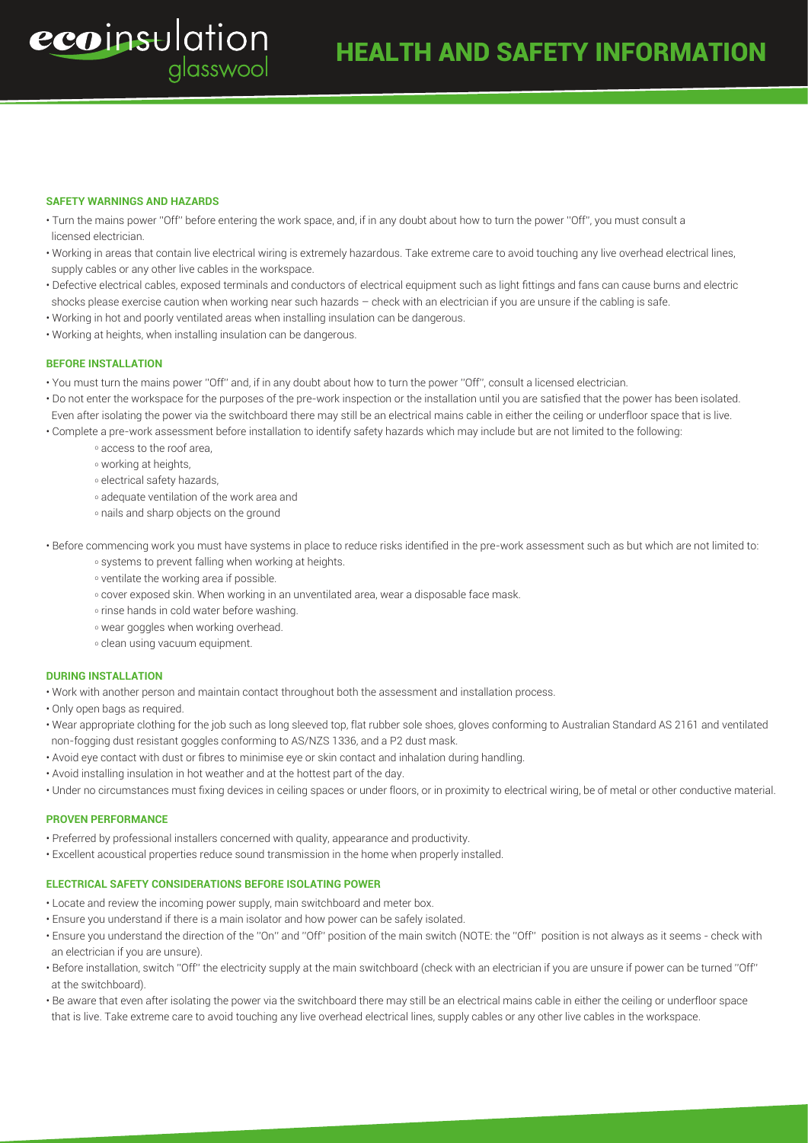## **SAFETY WARNINGS AND HAZARDS**

ecoinsulation

- Turn the mains power ''Off'' before entering the work space, and, if in any doubt about how to turn the power ''Off'', you must consult a licensed electrician.
- Working in areas that contain live electrical wiring is extremely hazardous. Take extreme care to avoid touching any live overhead electrical lines, supply cables or any other live cables in the workspace.
- Defective electrical cables, exposed terminals and conductors of electrical equipment such as light fittings and fans can cause burns and electric shocks please exercise caution when working near such hazards – check with an electrician if you are unsure if the cabling is safe.
- Working in hot and poorly ventilated areas when installing insulation can be dangerous.
- Working at heights, when installing insulation can be dangerous.

alasswool

## **BEFORE INSTALLATION**

- You must turn the mains power ''Off'' and, if in any doubt about how to turn the power ''Off'', consult a licensed electrician.
- Do not enter the workspace for the purposes of the pre-work inspection or the installation until you are satisfied that the power has been isolated. Even after isolating the power via the switchboard there may still be an electrical mains cable in either the ceiling or underfloor space that is live. • Complete a pre-work assessment before installation to identify safety hazards which may include but are not limited to the following:
- - o access to the roof area,
	- o working at heights,
	- o electrical safety hazards,
	- o adequate ventilation of the work area and
	- o nails and sharp objects on the ground
- Before commencing work you must have systems in place to reduce risks identified in the pre-work assessment such as but which are not limited to:
	- o systems to prevent falling when working at heights.
	- o ventilate the working area if possible.
	- o cover exposed skin. When working in an unventilated area, wear a disposable face mask.
	- o rinse hands in cold water before washing.
	- o wear goggles when working overhead.
	- o clean using vacuum equipment.

## **DURING INSTALLATION**

- Work with another person and maintain contact throughout both the assessment and installation process.
- Only open bags as required.
- Wear appropriate clothing for the job such as long sleeved top, flat rubber sole shoes, gloves conforming to Australian Standard AS 2161 and ventilated non-fogging dust resistant goggles conforming to AS/NZS 1336, and a P2 dust mask.
- Avoid eye contact with dust or fibres to minimise eye or skin contact and inhalation during handling.
- Avoid installing insulation in hot weather and at the hottest part of the day.
- Under no circumstances must fixing devices in ceiling spaces or under floors, or in proximity to electrical wiring, be of metal or other conductive material.

#### **PROVEN PERFORMANCE**

- Preferred by professional installers concerned with quality, appearance and productivity.
- Excellent acoustical properties reduce sound transmission in the home when properly installed.

#### **ELECTRICAL SAFETY CONSIDERATIONS BEFORE ISOLATING POWER**

- Locate and review the incoming power supply, main switchboard and meter box.
- Ensure you understand if there is a main isolator and how power can be safely isolated.
- Ensure you understand the direction of the ''On'' and ''Off'' position of the main switch (NOTE: the ''Off'' position is not always as it seems check with an electrician if you are unsure).
- Before installation, switch ''Off'' the electricity supply at the main switchboard (check with an electrician if you are unsure if power can be turned ''Off'' at the switchboard).
- Be aware that even after isolating the power via the switchboard there may still be an electrical mains cable in either the ceiling or underfloor space that is live. Take extreme care to avoid touching any live overhead electrical lines, supply cables or any other live cables in the workspace.